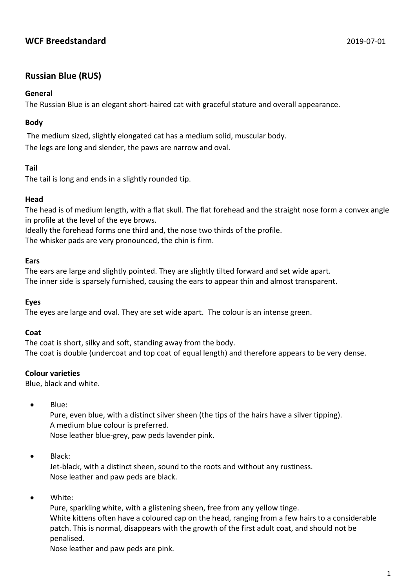# **WCF Breedstandard** 2019-07-01

# **Russian Blue (RUS)**

## **General**

The Russian Blue is an elegant short-haired cat with graceful stature and overall appearance.

### **Body**

The medium sized, slightly elongated cat has a medium solid, muscular body. The legs are long and slender, the paws are narrow and oval.

#### **Tail**

The tail is long and ends in a slightly rounded tip.

#### **Head**

The head is of medium length, with a flat skull. The flat forehead and the straight nose form a convex angle in profile at the level of the eye brows.

Ideally the forehead forms one third and, the nose two thirds of the profile. The whisker pads are very pronounced, the chin is firm.

#### **Ears**

The ears are large and slightly pointed. They are slightly tilted forward and set wide apart. The inner side is sparsely furnished, causing the ears to appear thin and almost transparent.

#### **Eyes**

The eyes are large and oval. They are set wide apart. The colour is an intense green.

#### **Coat**

The coat is short, silky and soft, standing away from the body. The coat is double (undercoat and top coat of equal length) and therefore appears to be very dense.

#### **Colour varieties**

Blue, black and white.

• Blue:

Pure, even blue, with a distinct silver sheen (the tips of the hairs have a silver tipping). A medium blue colour is preferred. Nose leather blue-grey, paw peds lavender pink.

 $\bullet$  Black:

Jet-black, with a distinct sheen, sound to the roots and without any rustiness. Nose leather and paw peds are black.

White:

Pure, sparkling white, with a glistening sheen, free from any yellow tinge. White kittens often have a coloured cap on the head, ranging from a few hairs to a considerable patch. This is normal, disappears with the growth of the first adult coat, and should not be penalised.

Nose leather and paw peds are pink.